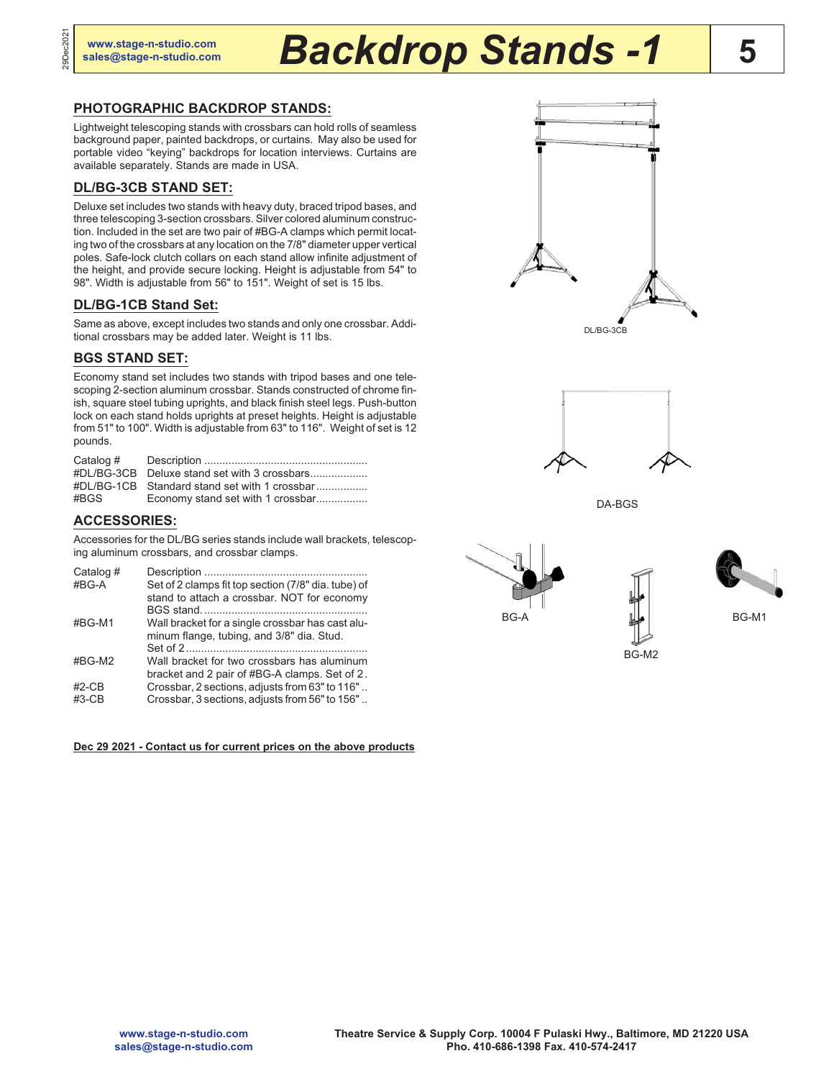29Dec2021

29Dec202

# **5 [www.stage-n-studio.com](http://www.stage-n-studio.com) [sales@stage-n-studio.com](mailto:sales@stage-n-studio.com)** *Backdrop Stands -1*

# **PHOTOGRAPHIC BACKDROP STANDS:**

Lightweight telescoping stands with crossbars can hold rolls of seamless background paper, painted backdrops, or curtains. May also be used for portable video "keying" backdrops for location interviews. Curtains are available separately. Stands are made in USA.

# **DL/BG-3CB STAND SET:**

Deluxe set includes two stands with heavy duty, braced tripod bases, and three telescoping 3-section crossbars. Silver colored aluminum construction. Included in the set are two pair of #BG-A clamps which permit locating two of the crossbars at any location on the 7/8" diameter upper vertical poles. Safe-lock clutch collars on each stand allow infinite adjustment of the height, and provide secure locking. Height is adjustable from 54" to 98". Width is adjustable from 56" to 151". Weight of set is 15 lbs.

# **DL/BG-1CB Stand Set:**

Same as above, except includes two stands and only one crossbar. Additional crossbars may be added later. Weight is 11 lbs.

### **BGS STAND SET:**

Economy stand set includes two stands with tripod bases and one telescoping 2-section aluminum crossbar. Stands constructed of chrome finish, square steel tubing uprights, and black finish steel legs. Push-button lock on each stand holds uprights at preset heights. Height is adjustable from 51" to 100". Width is adjustable from 63" to 116". Weight of set is 12 pounds.

| Catalog # |                                               |
|-----------|-----------------------------------------------|
|           | #DL/BG-3CB Deluxe stand set with 3 crossbars  |
|           | #DL/BG-1CB Standard stand set with 1 crossbar |
| #BGS      | Economy stand set with 1 crossbar             |

# **ACCESSORIES:**

Accessories for the DL/BG series stands include wall brackets, telescoping aluminum crossbars, and crossbar clamps.

| Catalog # |                                                     |
|-----------|-----------------------------------------------------|
| #BG-A     | Set of 2 clamps fit top section (7/8" dia. tube) of |
|           | stand to attach a crossbar. NOT for economy         |
|           |                                                     |
| #BG-M1    | Wall bracket for a single crossbar has cast alu-    |
|           | minum flange, tubing, and 3/8" dia. Stud.           |
|           |                                                     |
| #BG-M2    | Wall bracket for two crossbars has aluminum         |
|           | bracket and 2 pair of #BG-A clamps. Set of 2.       |
| $#2$ -CB  | Crossbar, 2 sections, adjusts from 63" to 116"      |
| $#3-CB$   | Crossbar, 3 sections, adjusts from 56" to 156"      |
|           |                                                     |

**Dec 29 2021 - Contact us for current prices on the above products**





DA-BGS

BG-M2



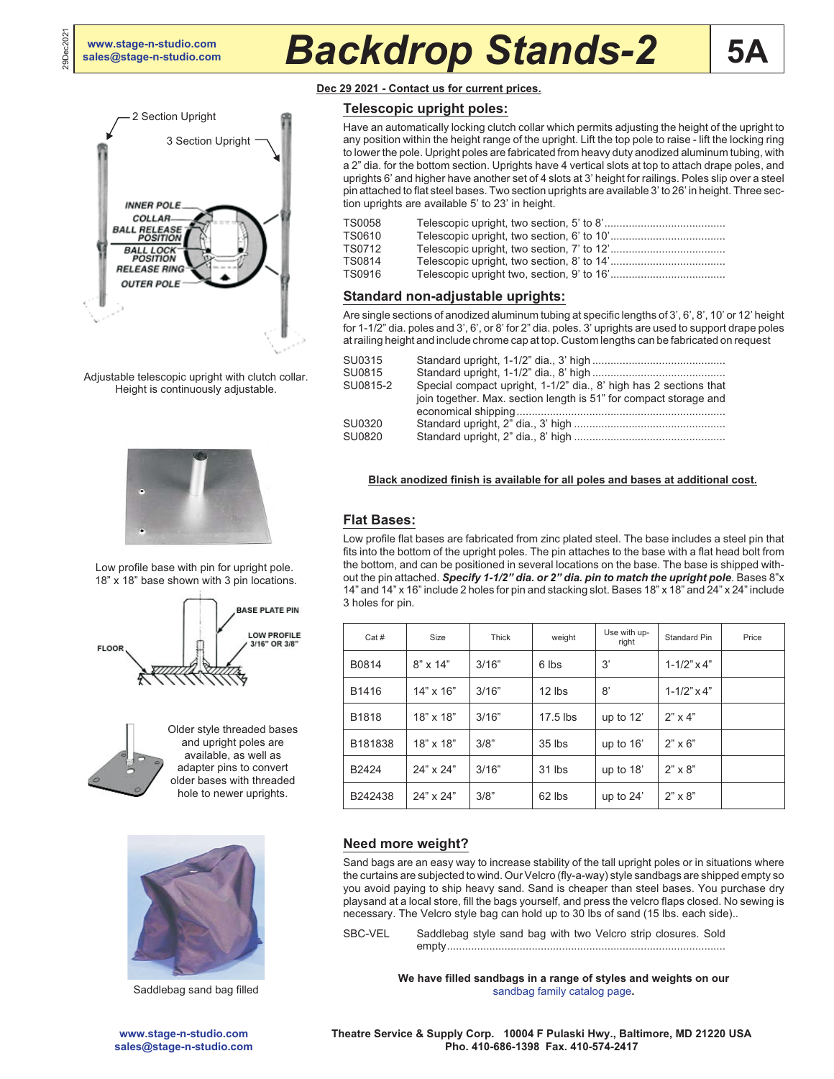29Dec2021

29Dec202

# **[sales@stage-n-studio.com](mailto:sales@stage-n-studio.com)** *Backdrop Stands-2*



Adjustable telescopic upright with clutch collar. Height is continuously adjustable.



Low profile base with pin for upright pole. 18" x 18" base shown with 3 pin locations.





Older style threaded bases and upright poles are available, as well as adapter pins to convert older bases with threaded hole to newer uprights.



**Dec 29 2021 - Contact us for current prices.**

# **Telescopic upright poles:**

Have an automatically locking clutch collar which permits adjusting the height of the upright to any position within the height range of the upright. Lift the top pole to raise - lift the locking ring to lower the pole. Upright poles are fabricated from heavy duty anodized aluminum tubing, with a 2" dia. for the bottom section. Uprights have 4 vertical slots at top to attach drape poles, and uprights 6' and higher have another set of 4 slots at 3' height for railings. Poles slip over a steel pin attached to flat steel bases. Two section uprights are available 3' to 26' in height. Three section uprights are available 5' to 23' in height.

| TS0058 |  |
|--------|--|
| TS0610 |  |
| TS0712 |  |
| TS0814 |  |
| TS0916 |  |
|        |  |

# **Standard non-adjustable uprights:**

Are single sections of anodized aluminum tubing at specific lengths of 3', 6', 8', 10' or 12' height for 1-1/2" dia. poles and 3', 6', or 8' for 2" dia. poles. 3' uprights are used to support drape poles at railing height and include chrome cap at top. Custom lengths can be fabricated on request

| SU0315   |                                                                                                                                        |
|----------|----------------------------------------------------------------------------------------------------------------------------------------|
| SU0815   |                                                                                                                                        |
| SU0815-2 | Special compact upright, 1-1/2" dia., 8' high has 2 sections that<br>join together. Max. section length is 51" for compact storage and |
| SU0320   |                                                                                                                                        |
| SU0820   |                                                                                                                                        |
|          |                                                                                                                                        |

### **Black anodized finish is available for all poles and bases at additional cost.**

# **Flat Bases:**

Low profile flat bases are fabricated from zinc plated steel. The base includes a steel pin that fits into the bottom of the upright poles. The pin attaches to the base with a flat head bolt from the bottom, and can be positioned in several locations on the base. The base is shipped without the pin attached. *Specify 1-1/2" dia. or 2" dia. pin to match the upright pole*. Bases 8"x 14" and 14" x 16" include 2 holes for pin and stacking slot. Bases 18" x 18" and 24" x 24" include 3 holes for pin.

| Cat#    | Size             | Thick | weight   | Use with up-<br>right | Standard Pin         | Price |
|---------|------------------|-------|----------|-----------------------|----------------------|-------|
| B0814   | $8" \times 14"$  | 3/16" | 6 lbs    | 3'                    | $1 - 1/2" \times 4"$ |       |
| B1416   | $14" \times 16"$ | 3/16" | $12$ lbs | 8'                    | $1 - 1/2" \times 4"$ |       |
| B1818   | 18" x 18"        | 3/16" | 17.5 lbs | up to $12'$           | $2" \times 4"$       |       |
| B181838 | 18" x 18"        | 3/8"  | $35$ lbs | up to 16'             | $2" \times 6"$       |       |
| B2424   | 24" x 24"        | 3/16" | 31 lbs   | up to $18'$           | $2" \times 8"$       |       |
| B242438 | 24" x 24"        | 3/8"  | 62 lbs   | up to $24'$           | $2" \times 8"$       |       |

# **Need more weight?**

Sand bags are an easy way to increase stability of the tall upright poles or in situations where the curtains are subjected to wind. Our Velcro (fly-a-way) style sandbags are shipped empty so you avoid paying to ship heavy sand. Sand is cheaper than steel bases. You purchase dry playsand at a local store, fill the bags yourself, and press the velcro flaps closed. No sewing is necessary. The Velcro style bag can hold up to 30 lbs of sand (15 lbs. each side)..

SBC-VEL Saddlebag style sand bag with two Velcro strip closures. Sold empty............................................................................................

**We have filled sandbags in a range of styles and weights on our** Saddlebag sand bag filled [sandbag family catalog page](http://www.stage-n-studio.com/Sandbags/index.htm).

> **Theatre Service & Supply Corp. 10004 F Pulaski Hwy., Baltimore, MD 21220 USA Pho. 410-686-1398 Fax. 410-574-2417**